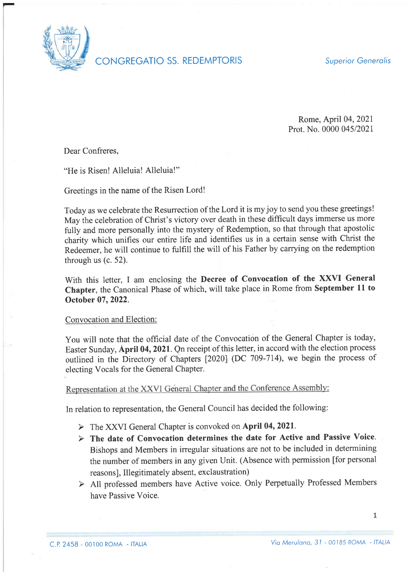

CONGREGATIO SS. REDEMPTORIS Superior Generalis

Rome, April 04,2021 Prot. No. 0000 045/2021

Dear Confreres,

"He is Risen! Alleluia! Alleluia!"

Greetings in the name of the Risen Lord!

Today as we celebrate the Resurrection of the Lord it is my joy to send you these greetings! May the celebration of Christ's victory over death in these difficult days immerse us more fully and more personally into the mystery of Redemption, so that through that apostolic charity which unifies our entire life and identifies us in a certain sense with Christ the Redeemer, he will continue to fulfill the will of his Father by carrying on the redemption through us  $(c. 52)$ .

With this letter, I am enclosing the Decree of Convocation of the XXVI General Chapter, the Canonical Phase of which, will take place in Rome from September 11 to October 07,2022.

## Convocation and Election:

You will note that the official date of the Convocation of the General Chapter is today, Easter Sunday, April 04,2021. Qn receipt of this letter, in accord with the election process outlined in the Directory of Chapters [2020] (DC 709-714), we begin the process of electing Vocals for the General Chapter.

Representation at the XXVI General Chapter and the Conference Assembly:

In relation to representation, the General Council has decided the following:

- $\triangleright$  The XXVI General Chapter is convoked on April 04, 2021.
- $\triangleright$  The date of Convocation determines the date for Active and Passive Voice. Bishops and Members in irregular situations are not to be included in determining the number of members in any given Unit. (Absence with permission [for personal reasons], Illegitimately absent, exclaustration)
- > All professed members have Active voice. Only Perpetually Professed Members have Passive Voice.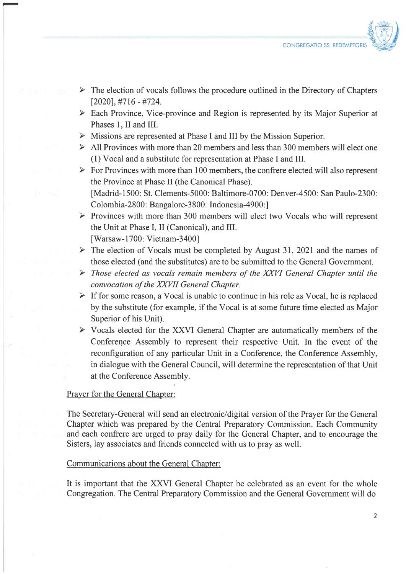

- $\triangleright$  The election of vocals follows the procedure outlined in the Directory of Chapters  $[2020]$ ,  $\#716 - \#724$ .
- $\triangleright$  Each Province, Vice-province and Region is represented by its Major Superior at Phases 1, II and III.
- $\triangleright$  Missions are represented at Phase I and III by the Mission Superior.
- $\triangleright$  All Provinces with more than 20 members and less than 300 members will elect one (1) Vocal and a substitute for representation at Phase I and III.
- $\triangleright$  For Provinces with more than 100 members, the confrere elected will also represent the Province at Phase II (the Canonical Phase). [Madrid-1500: St. Clements-50O0: Baltimore-070O: Denver-4500: San Paulo-2300: Colombia-2800: Bangalore-3800: Indonesia-4900:1
- $\triangleright$  Provinces with more than 300 members will elect two Vocals who will represent the Unit at Phase I, II (Canonical), and III. [Warsaw-1700: Vietnam-3400]
- $\triangleright$  The election of Vocals must be completed by August 31, 2021 and the names of those elected (and the substitutes) are to be submitted to the General Government.
- $\triangleright$  Those elected as vocals remain members of the XXVI General Chapter until the convocation of the XXVII General Chapter.
- $\triangleright$  If for some reason, a Vocal is unable to continue in his role as Vocal, he is replaced by the substitute (for example, if the Vocal is at some future time elected as Major Superior of his Unit).
- > Vocals elected for the XXVI General Chapter are automatically members of the Conference Assembly to represent their respective Unit. In the event of the reconfiguration of any particular Unit in a Conference, the Conference Assembly, in dialogue with the General Council, will determine the representation of that Unit at the Conference Assembly.

## Prayer for the General Chapter:

The Secretary-General will send an electronic/digital version of the Prayer for the General Chapter which was prepared by the Central Preparatory Commission. Each Community and each confrere are urged to pray daily for the General Chapter, and to encourage the Sisters, lay associates and friends connected with us to pray as well.

## Communications about the General Chapter:

It is important that the XXVI General Chapter be celebrated as an event for the whole Congregation. The Central Preparatory Commission and the General Government will do